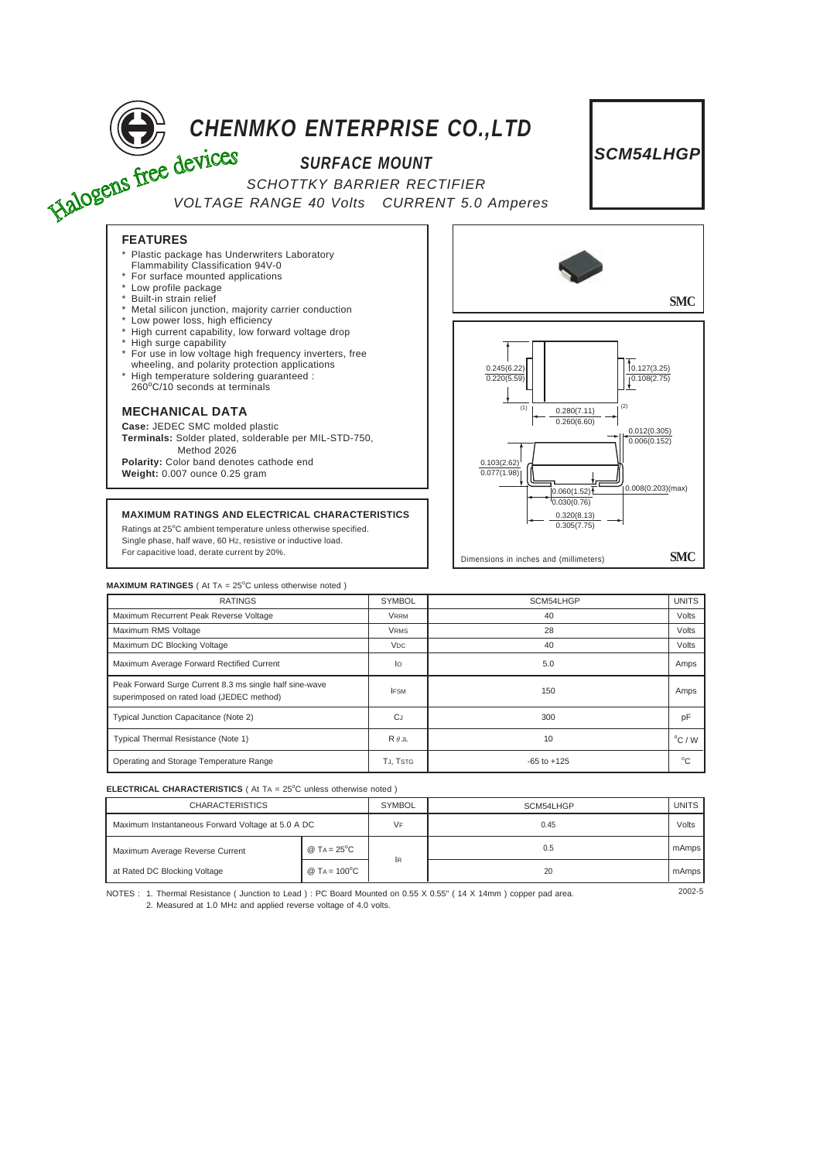

Ratings at 25°C ambient temperature unless otherwise specified. Single phase, half wave, 60 HZ, resistive or inductive load. For capacitive load, derate current by 20%.



| <b>MAXIMUM RATINGES</b> (At TA = $25^{\circ}$ C unless otherwise noted)                              |                       |                 |                 |
|------------------------------------------------------------------------------------------------------|-----------------------|-----------------|-----------------|
| <b>RATINGS</b>                                                                                       | <b>SYMBOL</b>         | SCM54LHGP       | <b>UNITS</b>    |
| Maximum Recurrent Peak Reverse Voltage                                                               | <b>VRRM</b>           | 40              | Volts           |
| Maximum RMS Voltage                                                                                  | <b>VRMS</b>           | 28              | Volts           |
| Maximum DC Blocking Voltage                                                                          | <b>V<sub>DC</sub></b> | 40              | Volts           |
| Maximum Average Forward Rectified Current                                                            | lo                    | 5.0             | Amps            |
| Peak Forward Surge Current 8.3 ms single half sine-wave<br>superimposed on rated load (JEDEC method) | <b>IFSM</b>           | 150             | Amps            |
| Typical Junction Capacitance (Note 2)                                                                | <b>C</b> J            | 300             | pF              |
| Typical Thermal Resistance (Note 1)                                                                  | $R \theta$ JL         | 10              | $\degree$ C / W |
| Operating and Storage Temperature Range                                                              | TJ, TSTG              | $-65$ to $+125$ | $^{\circ}$ C    |

Dimensions in inches and (millimeters) **SMC**

## **ELECTRICAL CHARACTERISTICS** ( At TA = 25°C unless otherwise noted )

| <b>CHARACTERISTICS</b>                            |                       | <b>SYMBOL</b> | SCM54LHGP | <b>UNITS</b> |
|---------------------------------------------------|-----------------------|---------------|-----------|--------------|
| Maximum Instantaneous Forward Voltage at 5.0 A DC |                       | VF            | 0.45      | Volts        |
| Maximum Average Reverse Current                   | @ $TA = 25^{\circ}C$  | <b>IR</b>     | 0.5       | mAmps        |
| at Rated DC Blocking Voltage                      | @ $Ta = 100^{\circ}C$ |               | 20        | mAmps        |

NOTES : 1. Thermal Resistance ( Junction to Lead ) : PC Board Mounted on 0.55 X 0.55" ( 14 X 14mm ) copper pad area.  $2002 - 5$ 2. Measured at 1.0 MHZ and applied reverse voltage of 4.0 volts.